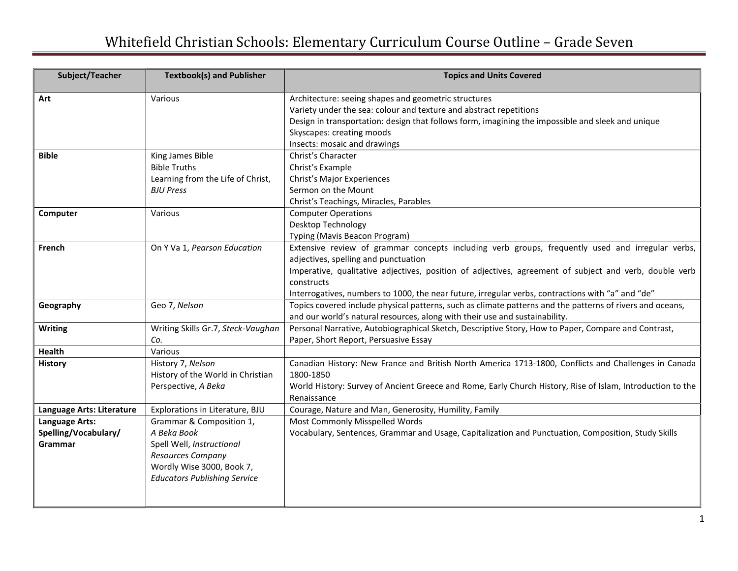## Whitefield Christian Schools: Elementary Curriculum Course Outline – Grade Seven

| Subject/Teacher                                   | <b>Textbook(s) and Publisher</b>                                                                                                                                     | <b>Topics and Units Covered</b>                                                                                                                                                                                                                                                                                                                                       |
|---------------------------------------------------|----------------------------------------------------------------------------------------------------------------------------------------------------------------------|-----------------------------------------------------------------------------------------------------------------------------------------------------------------------------------------------------------------------------------------------------------------------------------------------------------------------------------------------------------------------|
| Art                                               | Various                                                                                                                                                              | Architecture: seeing shapes and geometric structures<br>Variety under the sea: colour and texture and abstract repetitions<br>Design in transportation: design that follows form, imagining the impossible and sleek and unique<br>Skyscapes: creating moods<br>Insects: mosaic and drawings                                                                          |
| <b>Bible</b>                                      | King James Bible<br><b>Bible Truths</b><br>Learning from the Life of Christ,<br><b>BJU Press</b>                                                                     | Christ's Character<br>Christ's Example<br>Christ's Major Experiences<br>Sermon on the Mount<br>Christ's Teachings, Miracles, Parables                                                                                                                                                                                                                                 |
| Computer                                          | Various                                                                                                                                                              | <b>Computer Operations</b><br>Desktop Technology<br>Typing (Mavis Beacon Program)                                                                                                                                                                                                                                                                                     |
| French                                            | On Y Va 1, Pearson Education                                                                                                                                         | Extensive review of grammar concepts including verb groups, frequently used and irregular verbs,<br>adjectives, spelling and punctuation<br>Imperative, qualitative adjectives, position of adjectives, agreement of subject and verb, double verb<br>constructs<br>Interrogatives, numbers to 1000, the near future, irregular verbs, contractions with "a" and "de" |
| Geography                                         | Geo 7, Nelson                                                                                                                                                        | Topics covered include physical patterns, such as climate patterns and the patterns of rivers and oceans,<br>and our world's natural resources, along with their use and sustainability.                                                                                                                                                                              |
| <b>Writing</b>                                    | Writing Skills Gr.7, Steck-Vaughan<br>Co.                                                                                                                            | Personal Narrative, Autobiographical Sketch, Descriptive Story, How to Paper, Compare and Contrast,<br>Paper, Short Report, Persuasive Essay                                                                                                                                                                                                                          |
| <b>Health</b>                                     | Various                                                                                                                                                              |                                                                                                                                                                                                                                                                                                                                                                       |
| <b>History</b>                                    | History 7, Nelson<br>History of the World in Christian<br>Perspective, A Beka                                                                                        | Canadian History: New France and British North America 1713-1800, Conflicts and Challenges in Canada<br>1800-1850<br>World History: Survey of Ancient Greece and Rome, Early Church History, Rise of Islam, Introduction to the<br>Renaissance                                                                                                                        |
| Language Arts: Literature                         | Explorations in Literature, BJU                                                                                                                                      | Courage, Nature and Man, Generosity, Humility, Family                                                                                                                                                                                                                                                                                                                 |
| Language Arts:<br>Spelling/Vocabulary/<br>Grammar | Grammar & Composition 1,<br>A Beka Book<br>Spell Well, Instructional<br><b>Resources Company</b><br>Wordly Wise 3000, Book 7,<br><b>Educators Publishing Service</b> | Most Commonly Misspelled Words<br>Vocabulary, Sentences, Grammar and Usage, Capitalization and Punctuation, Composition, Study Skills                                                                                                                                                                                                                                 |